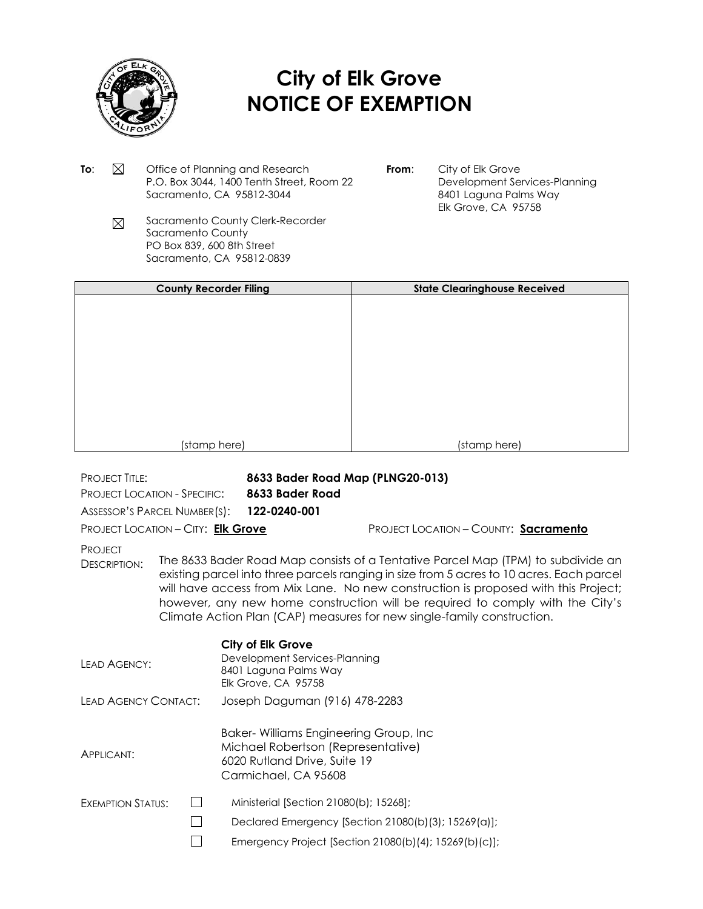

## **City of Elk Grove NOTICE OF EXEMPTION**

- **To:**  $\boxtimes$  Office of Planning and Research P.O. Box 3044, 1400 Tenth Street, Room 22 Sacramento, CA 95812-3044
- **From:** City of Elk Grove Development Services-Planning 8401 Laguna Palms Way Elk Grove, CA 95758
- Sacramento County Clerk-Recorder  $\boxtimes$ Sacramento County PO Box 839, 600 8th Street Sacramento, CA 95812-0839

| <b>County Recorder Filing</b> | <b>State Clearinghouse Received</b> |
|-------------------------------|-------------------------------------|
|                               |                                     |
|                               |                                     |
|                               |                                     |
|                               |                                     |
|                               |                                     |
|                               |                                     |
|                               |                                     |
|                               |                                     |
|                               |                                     |
|                               |                                     |
| (stamp here)                  | (stamp here)                        |
|                               |                                     |

- PROJECT TITLE: **8633 Bader Road Map (PLNG20-013)**
- PROJECT LOCATION SPECIFIC: **8633 Bader Road**
- ASSESSOR'S PARCEL NUMBER(S): **122-0240-001**
- 

PROJECT LOCATION – CITY: **Elk Grove** PROJECT LOCATION – COUNTY: **Sacramento**

- **PROJECT**
- DESCRIPTION: The 8633 Bader Road Map consists of a Tentative Parcel Map (TPM) to subdivide an existing parcel into three parcels ranging in size from 5 acres to 10 acres. Each parcel will have access from Mix Lane. No new construction is proposed with this Project; however, any new home construction will be required to comply with the City's Climate Action Plan (CAP) measures for new single-family construction.

| LEAD AGENCY:                |  | City of Elk Grove<br>Development Services-Planning<br>8401 Laguna Palms Way<br><b>Elk Grove, CA 95758</b>                            |  |
|-----------------------------|--|--------------------------------------------------------------------------------------------------------------------------------------|--|
| <b>LEAD AGENCY CONTACT:</b> |  | Joseph Daguman (916) 478-2283                                                                                                        |  |
| APPLICANT:                  |  | Baker-Williams Engineering Group, Inc.<br>Michael Robertson (Representative)<br>6020 Rutland Drive, Suite 19<br>Carmichael, CA 95608 |  |
| <b>EXEMPTION STATUS:</b>    |  | Ministerial [Section 21080(b); 15268];                                                                                               |  |
|                             |  | Declared Emergency [Section 21080(b)(3); 15269(a)];                                                                                  |  |
|                             |  | Emergency Project [Section 21080(b)(4); 15269(b)(c)];                                                                                |  |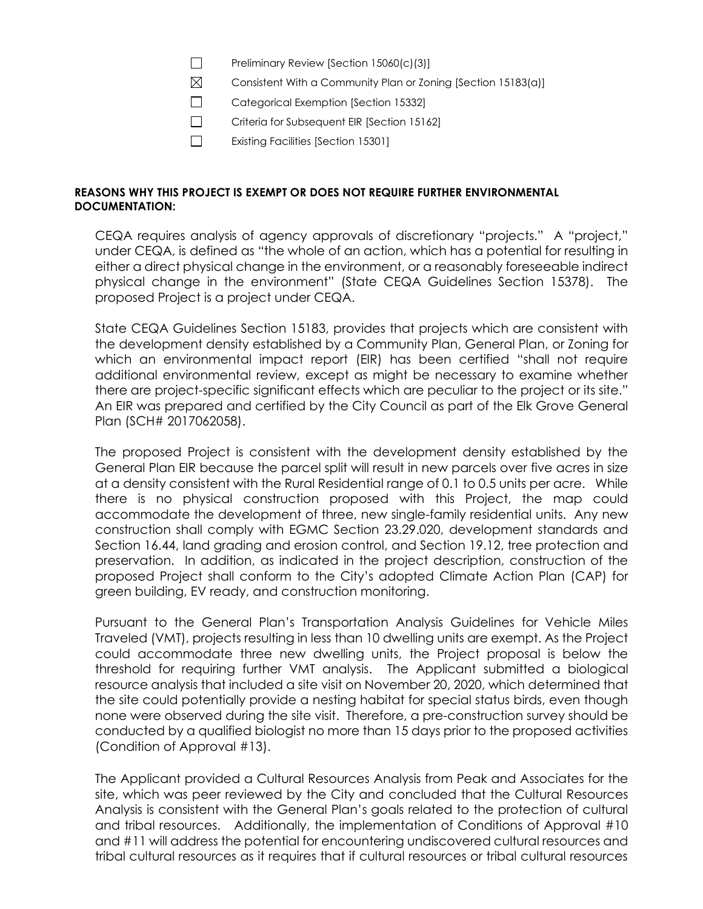- $\Box$ Preliminary Review [Section 15060(c)(3)]
- $\boxtimes$ Consistent With a Community Plan or Zoning [Section 15183(a)]
- $\Box$ Categorical Exemption [Section 15332]
- $\Box$ Criteria for Subsequent EIR [Section 15162]
- $\Box$ Existing Facilities [Section 15301]

## **REASONS WHY THIS PROJECT IS EXEMPT OR DOES NOT REQUIRE FURTHER ENVIRONMENTAL DOCUMENTATION:**

CEQA requires analysis of agency approvals of discretionary "projects." A "project," under CEQA, is defined as "the whole of an action, which has a potential for resulting in either a direct physical change in the environment, or a reasonably foreseeable indirect physical change in the environment" (State CEQA Guidelines Section 15378). The proposed Project is a project under CEQA.

State CEQA Guidelines Section 15183, provides that projects which are consistent with the development density established by a Community Plan, General Plan, or Zoning for which an environmental impact report (EIR) has been certified "shall not require additional environmental review, except as might be necessary to examine whether there are project-specific significant effects which are peculiar to the project or its site." An EIR was prepared and certified by the City Council as part of the Elk Grove General Plan (SCH# 2017062058).

The proposed Project is consistent with the development density established by the General Plan EIR because the parcel split will result in new parcels over five acres in size at a density consistent with the Rural Residential range of 0.1 to 0.5 units per acre. While there is no physical construction proposed with this Project, the map could accommodate the development of three, new single-family residential units. Any new construction shall comply with EGMC Section 23.29.020, development standards and Section 16.44, land grading and erosion control, and Section 19.12, tree protection and preservation. In addition, as indicated in the project description, construction of the proposed Project shall conform to the City's adopted Climate Action Plan (CAP) for green building, EV ready, and construction monitoring.

Pursuant to the General Plan's Transportation Analysis Guidelines for Vehicle Miles Traveled (VMT), projects resulting in less than 10 dwelling units are exempt. As the Project could accommodate three new dwelling units, the Project proposal is below the threshold for requiring further VMT analysis. The Applicant submitted a biological resource analysis that included a site visit on November 20, 2020, which determined that the site could potentially provide a nesting habitat for special status birds, even though none were observed during the site visit. Therefore, a pre-construction survey should be conducted by a qualified biologist no more than 15 days prior to the proposed activities (Condition of Approval #13).

The Applicant provided a Cultural Resources Analysis from Peak and Associates for the site, which was peer reviewed by the City and concluded that the Cultural Resources Analysis is consistent with the General Plan's goals related to the protection of cultural and tribal resources. Additionally, the implementation of Conditions of Approval #10 and #11 will address the potential for encountering undiscovered cultural resources and tribal cultural resources as it requires that if cultural resources or tribal cultural resources